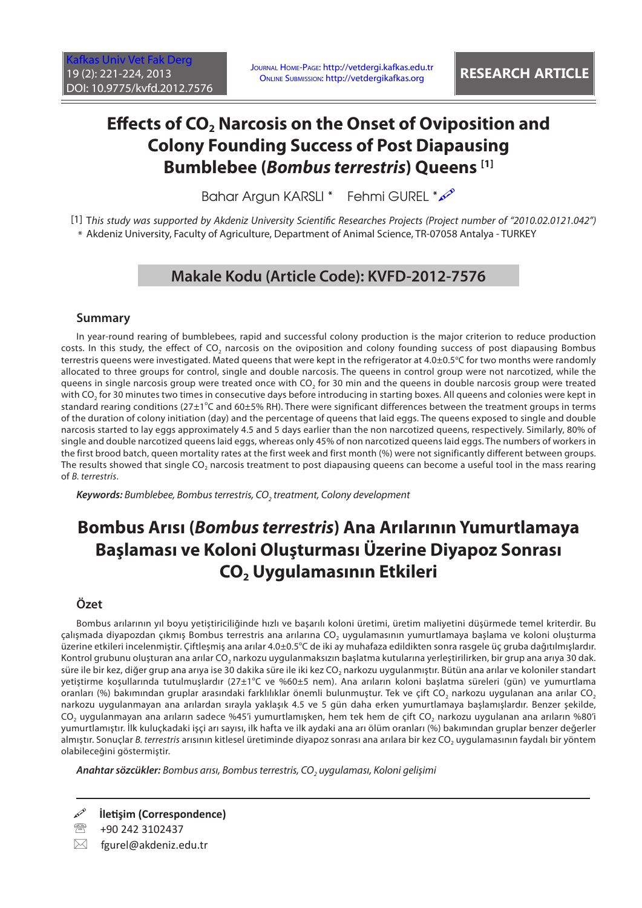# **Effects of CO<sub>2</sub> Narcosis on the Onset of Oviposition and Colony Founding Success of Post Diapausing Bumblebee (***Bombus terrestris***) Queens [1]**

Bahar Argun KARSLI \* Fehmi GUREL \*  $\mathscr{P}$ 

[1] T*his study was supported by Akdeniz University Scientific Researches Projects (Project number of "2010.02.0121.042")* \* Akdeniz University, Faculty of Agriculture, Department of Animal Science, TR-07058 Antalya - TURKEY

# **Makale Kodu (Article Code): KVFD-2012-7576**

### **Summary**

In year-round rearing of bumblebees, rapid and successful colony production is the major criterion to reduce production costs. In this study, the effect of CO<sub>2</sub> narcosis on the oviposition and colony founding success of post diapausing Bombus terrestris queens were investigated. Mated queens that were kept in the refrigerator at 4.0±0.5°C for two months were randomly allocated to three groups for control, single and double narcosis. The queens in control group were not narcotized, while the queens in single narcosis group were treated once with CO<sub>2</sub> for 30 min and the queens in double narcosis group were treated with CO<sub>2</sub> for 30 minutes two times in consecutive days before introducing in starting boxes. All queens and colonies were kept in standard rearing conditions (27 $\pm$ 1°C and 60 $\pm$ 5% RH). There were significant differences between the treatment groups in terms of the duration of colony initiation (day) and the percentage of queens that laid eggs. The queens exposed to single and double narcosis started to lay eggs approximately 4.5 and 5 days earlier than the non narcotized queens, respectively. Similarly, 80% of single and double narcotized queens laid eggs, whereas only 45% of non narcotized queens laid eggs. The numbers of workers in the first brood batch, queen mortality rates at the first week and first month (%) were not significantly different between groups. The results showed that single CO<sub>2</sub> narcosis treatment to post diapausing queens can become a useful tool in the mass rearing of *B. terrestris*.

Keywords: Bumblebee, Bombus terrestris, CO<sub>2</sub> treatment, Colony development

# **Bombus Arısı (***Bombus terrestris***) Ana Arılarının Yumurtlamaya Başlaması ve Koloni Oluşturması Üzerine Diyapoz Sonrası CO2 Uygulamasının Etkileri**

### **Özet**

Bombus arılarının yıl boyu yetiştiriciliğinde hızlı ve başarılı koloni üretimi, üretim maliyetini düşürmede temel kriterdir. Bu çalışmada diyapozdan çıkmış Bombus terrestris ana arılarına CO<sub>2</sub> uygulamasının yumurtlamaya başlama ve koloni oluşturma üzerine etkileri incelenmiştir. Çiftleşmiş ana arılar 4.0±0.5°C de iki ay muhafaza edildikten sonra rasgele üç gruba dağıtılmışlardır. Kontrol grubunu oluşturan ana arılar CO<sub>2</sub> narkozu uygulanmaksızın başlatma kutularına yerleştirilirken, bir grup ana arıya 30 dak. süre ile bir kez, diğer grup ana arıya ise 30 dakika süre ile iki kez CO<sub>2</sub> narkozu uygulanmıştır. Bütün ana arılar ve koloniler standart yetiştirme koşullarında tutulmuşlardır (27±1°C ve %60±5 nem). Ana arıların koloni başlatma süreleri (gün) ve yumurtlama oranları (%) bakımından gruplar arasındaki farklılıklar önemli bulunmuştur. Tek ve çift CO<sub>2</sub> narkozu uygulanan ana arılar CO<sub>2</sub> narkozu uygulanmayan ana arılardan sırayla yaklaşık 4.5 ve 5 gün daha erken yumurtlamaya başlamışlardır. Benzer şekilde, CO<sub>2</sub> uygulanmayan ana arıların sadece %45'i yumurtlamışken, hem tek hem de çift CO<sub>2</sub> narkozu uygulanan ana arıların %80'i yumurtlamıştır. İlk kuluçkadaki işçi arı sayısı, ilk hafta ve ilk aydaki ana arı ölüm oranları (%) bakımından gruplar benzer değerler almıştır. Sonuçlar *B. terrestris* arısının kitlesel üretiminde diyapoz sonrası ana arılara bir kez CO<sub>2</sub> uygulamasının faydalı bir yöntem olabileceğini göstermiştir.

*Anahtar sözcükler: Bombus arısı, Bombus terrestris, CO2 uygulaması, Koloni gelişimi*

**İletişim (Correspondence)**

+90 242 3102437

 $\boxtimes$  fgurel@akdeniz.edu.tr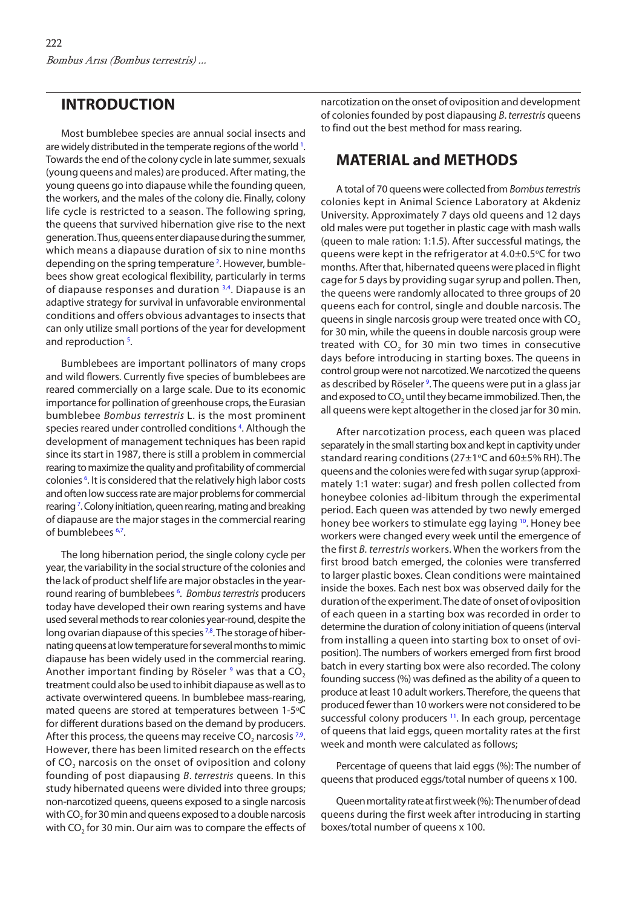## <span id="page-1-0"></span>**INTRODUCTION**

Most bumblebee species are annual social insects and are widely distributed in the temperate regions of the world <sup>[1](#page-3-0)</sup>. Towards the end of the colony cycle in late summer, sexuals (young queens and males) are produced. After mating, the young queens go into diapause while the founding queen, the workers, and the males of the colony die. Finally, colony life cycle is restricted to a season. The following spring, the queens that survived hibernation give rise to the next generation. Thus, queens enter diapause during the summer, which means a diapause duration of six to nine months depending on the spring temperature<sup>2</sup>. However, bumblebees show great ecological flexibility, particularly in terms of diapause responses and duration [3,4.](#page-3-0) Diapause is an adaptive strategy for survival in unfavorable environmental conditions and offers obvious advantages to insects that can only utilize small portions of the year for development and reproduction<sup>[5](#page-3-0)</sup>.

Bumblebees are important pollinators of many crops and wild flowers. Currently five species of bumblebees are reared commercially on a large scale. Due to its economic importance for pollination of greenhouse crops, the Eurasian bumblebee *Bombus terrestris* L. is the most prominent species reared under controlled conditions<sup>4</sup>. Although the development of management techniques has been rapid since its start in 1987, there is still a problem in commercial rearing to maximize the quality and profitability of commercial colonies<sup>6</sup>. It is considered that the relatively high labor costs and often low success rate are major problems for commercial rearing<sup>7</sup>. Colony initiation, queen rearing, mating and breaking of diapause are the major stages in the commercial rearing of bumblebees [6,7.](#page-3-0) 

The long hibernation period, the single colony cycle per year, the variability in the social structure of the colonies and the lack of product shelf life are major obstacles in the yearround rearing of bumblebees [6](#page-3-0) . *Bombus terrestris* producers today have developed their own rearing systems and have used several methods to rear colonies year-round, despite the long ovarian diapause of this species <sup>7,8</sup>. The storage of hibernating queens at low temperature for several months to mimic diapause has been widely used in the commercial rearing. Another important finding by Röseler  $^9$  $^9$  was that a CO $_2$ treatment could also be used to inhibit diapause as well as to activate overwintered queens. In bumblebee mass-rearing, mated queens are stored at temperatures between 1-5°C for different durations based on the demand by producers. After this process, the queens may receive CO<sub>2</sub> narcosis  $7,9$ . However, there has been limited research on the effects of CO<sub>2</sub> narcosis on the onset of oviposition and colony founding of post diapausing *B*. *terrestris* queens. In this study hibernated queens were divided into three groups; non-narcotized queens, queens exposed to a single narcosis with CO<sub>2</sub> for 30 min and queens exposed to a double narcosis with  $CO<sub>2</sub>$  for 30 min. Our aim was to compare the effects of narcotization on the onset of oviposition and development of colonies founded by post diapausing *B*. *terrestris* queens to find out the best method for mass rearing.

# **MATERIAL and METHODS**

A total of 70 queens were collected from *Bombus terrestris* colonies kept in Animal Science Laboratory at Akdeniz University. Approximately 7 days old queens and 12 days old males were put together in plastic cage with mash walls (queen to male ration: 1:1.5). After successful matings, the queens were kept in the refrigerator at  $4.0\pm0.5^{\circ}$ C for two months. After that, hibernated queens were placed in flight cage for 5 days by providing sugar syrup and pollen. Then, the queens were randomly allocated to three groups of 20 queens each for control, single and double narcosis. The queens in single narcosis group were treated once with CO<sub>2</sub> for 30 min, while the queens in double narcosis group were treated with  $CO<sub>2</sub>$  for 30 min two times in consecutive days before introducing in starting boxes. The queens in control group were not narcotized. We narcotized the queens as described by Röseler<sup>9</sup>. The queens were put in a glass jar and exposed to CO<sub>2</sub> until they became immobilized. Then, the all queens were kept altogether in the closed jar for 30 min.

After narcotization process, each queen was placed separately in the small starting box and kept in captivity under standard rearing conditions (27 $\pm$ 1°C and 60 $\pm$ 5% RH). The queens and the colonies were fed with sugar syrup (approximately 1:1 water: sugar) and fresh pollen collected from honeybee colonies ad-libitum through the experimental period. Each queen was attended by two newly emerged honey bee workers to stimulate egg laying [10.](#page-3-0) Honey bee workers were changed every week until the emergence of the first *B. terrestris* workers. When the workers from the first brood batch emerged, the colonies were transferred to larger plastic boxes. Clean conditions were maintained inside the boxes. Each nest box was observed daily for the duration of the experiment. The date of onset of oviposition of each queen in a starting box was recorded in order to determine the duration of colony initiation of queens (interval from installing a queen into starting box to onset of oviposition). The numbers of workers emerged from first brood batch in every starting box were also recorded. The colony founding success (%) was defined as the ability of a queen to produce at least 10 adult workers. Therefore, the queens that produced fewer than 10 workers were not considered to be successful colony producers<sup>11</sup>. In each group, percentage of queens that laid eggs, queen mortality rates at the first week and month were calculated as follows;

Percentage of queens that laid eggs (%): The number of queens that produced eggs/total number of queens x 100.

Queen mortality rate at first week (%): The number of dead queens during the first week after introducing in starting boxes/total number of queens x 100.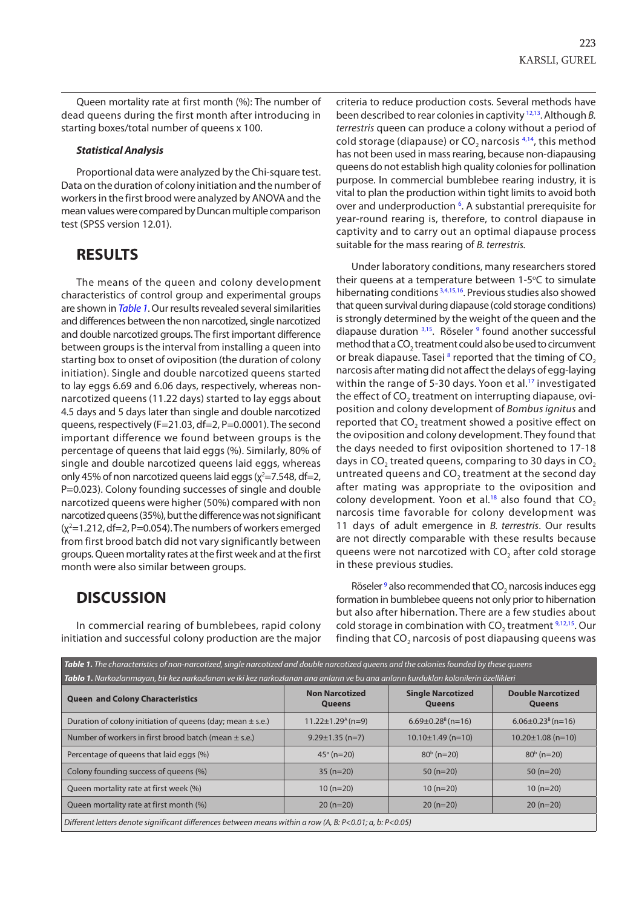Queen mortality rate at first month (%): The number of dead queens during the first month after introducing in starting boxes/total number of queens x 100.

#### *Statistical Analysis*

Proportional data were analyzed by the Chi-square test. Data on the duration of colony initiation and the number of workers in the first brood were analyzed by ANOVA and the mean values were compared by Duncan multiple comparison test (SPSS version 12.01).

### **RESULTS**

The means of the queen and colony development characteristics of control group and experimental groups are shown in *Table 1*. Our results revealed several similarities and differences between the non narcotized, single narcotized and double narcotized groups. The first important difference between groups is the interval from installing a queen into starting box to onset of oviposition (the duration of colony initiation). Single and double narcotized queens started to lay eggs 6.69 and 6.06 days, respectively, whereas nonnarcotized queens (11.22 days) started to lay eggs about 4.5 days and 5 days later than single and double narcotized queens, respectively (F=21.03, df=2, P=0.0001). The second important difference we found between groups is the percentage of queens that laid eggs (%). Similarly, 80% of single and double narcotized queens laid eggs, whereas only 45% of non narcotized queens laid eggs ( $\chi^2$ =7.548, df=2, P=0.023). Colony founding successes of single and double narcotized queens were higher (50%) compared with non narcotized queens (35%), but the difference was not significant  $(x^2=1.212, df=2, P=0.054)$ . The numbers of workers emerged from first brood batch did not vary significantly between groups. Queen mortality rates at the first week and at the first month were also similar between groups.

## **DISCUSSION**

In commercial rearing of bumblebees, rapid colony initiation and successful colony production are the major criteria to reduce production costs. Several methods have been described to rear colonies in captivity [12,13.](#page-3-0) Although *B. terrestris* queen can produce a colony without a period of cold storage (diapause) or  $CO<sub>2</sub>$  narcosis  $4,14$ , this method has not been used in mass rearing, because non-diapausing queens do not establish high quality colonies for pollination purpose. In commercial bumblebee rearing industry, it is vital to plan the production within tight limits to avoid both over and underproduction <sup>[6](#page-3-0)</sup>. A substantial prerequisite for year-round rearing is, therefore, to control diapause in captivity and to carry out an optimal diapause process suitable for the mass rearing of *B. terrestris.*

Under laboratory conditions, many researchers stored their queens at a temperature between 1-5°C to simulate hibernating conditions <sup>3,4,15,16</sup>. Previous studies also showed that queen survival during diapause (cold storage conditions) is strongly determined by the weight of the queen and the diapause duration  $3,15$ . Röseler  $9$  found another successful method that a  $CO<sub>2</sub>$  treatment could also be used to circumvent or break diapause. Tasei  $^8$  $^8$  reported that the timing of  $CO<sub>2</sub>$ narcosis after mating did not affect the delays of egg-laying within the range of 5-30 days. Yoon et al.<sup>17</sup> investigated the effect of CO<sub>2</sub> treatment on interrupting diapause, oviposition and colony development of *Bombus ignitus* and reported that CO<sub>2</sub> treatment showed a positive effect on the oviposition and colony development. They found that the days needed to first oviposition shortened to 17-18 days in  $CO<sub>2</sub>$  treated queens, comparing to 30 days in CO<sub>2</sub> untreated queens and  $CO<sub>2</sub>$  treatment at the second day after mating was appropriate to the oviposition and colony development. Yoon et al.<sup>18</sup> also found that  $CO<sub>2</sub>$ narcosis time favorable for colony development was 11 days of adult emergence in *B. terrestris*. Our results are not directly comparable with these results because queens were not narcotized with CO<sub>2</sub> after cold storage in these previous studies.

Röseler  $9$  also recommended that  $CO<sub>2</sub>$  narcosis induces egg formation in bumblebee queens not only prior to hibernation but also after hibernation. There are a few studies about cold storage in combination with  $CO<sub>2</sub>$  treatment  $9,12,15$ . Our finding that  $CO<sub>2</sub>$  narcosis of post diapausing queens was

| Table 1. The characteristics of non-narcotized, single narcotized and double narcotized queens and the colonies founded by these queens |                                        |                                           |                                           |
|-----------------------------------------------------------------------------------------------------------------------------------------|----------------------------------------|-------------------------------------------|-------------------------------------------|
| Tablo 1. Narkozlanmayan, bir kez narkozlanan ve iki kez narkozlanan ana arıların ve bu ana arıların kurdukları kolonilerin özellikleri  |                                        |                                           |                                           |
| <b>Queen and Colony Characteristics</b>                                                                                                 | <b>Non Narcotized</b><br><b>Queens</b> | <b>Single Narcotized</b><br><b>Queens</b> | <b>Double Narcotized</b><br><b>Queens</b> |
| Duration of colony initiation of queens (day; mean $\pm$ s.e.)                                                                          | $11.22 \pm 1.29$ <sup>A</sup> (n=9)    | $6.69 \pm 0.28$ <sup>B</sup> (n=16)       | $6.06 \pm 0.23$ <sup>B</sup> (n=16)       |
| Number of workers in first brood batch (mean $\pm$ s.e.)                                                                                | $9.29 \pm 1.35$ (n=7)                  | $10.10 \pm 1.49$ (n=10)                   | $10.20 \pm 1.08$ (n=10)                   |
| Percentage of queens that laid eggs (%)                                                                                                 | $45^{\circ}$ (n=20)                    | $80b$ (n=20)                              | $80b$ (n=20)                              |
| Colony founding success of queens (%)                                                                                                   | $35(n=20)$                             | $50(n=20)$                                | $50(n=20)$                                |
| Queen mortality rate at first week (%)                                                                                                  | $10(n=20)$                             | $10(n=20)$                                | $10(n=20)$                                |
| Queen mortality rate at first month (%)                                                                                                 | $20(n=20)$                             | $20(n=20)$                                | $20(n=20)$                                |
| Different letters denote significant differences between means within a row (A, B: P<0.01; a, b: P<0.05)                                |                                        |                                           |                                           |